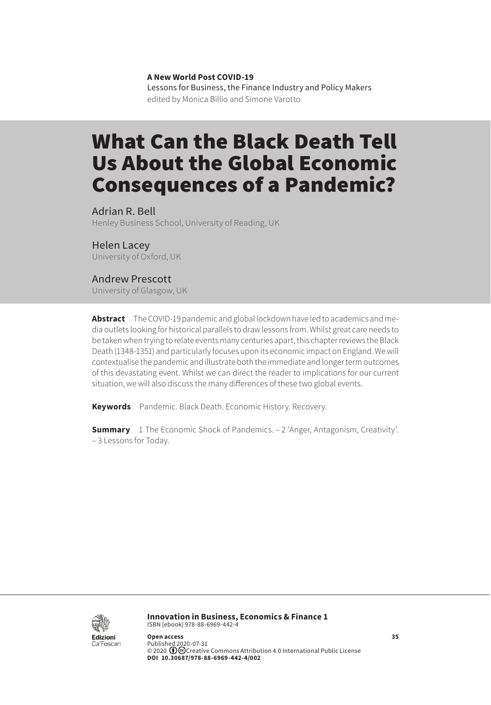**A New World Post COVID-19** Lessons for Business, the Finance Industry and Policy Makers edited by Monica Billio and Simone Varotto

# What Can the Black Death Tell Us About the Global Economic Consequences of a Pandemic?

Adrian R. Bell Henley Business School, University of Reading, UK

Helen Lacey University of Oxford, UK

#### Andrew Prescott

University of Glasgow, UK

**Abstract** The COVID-19 pandemic and global lockdown have led to academics and media outlets looking for historical parallels to draw lessons from. Whilst great care needs to be taken when trying to relate events many centuries apart, this chapter reviews the Black Death (1348-1351) and particularly focuses upon its economic impact on England. We will contextualise the pandemic and illustrate both the immediate and longer term outcomes of this devastating event. Whilst we can direct the reader to implications for our current situation, we will also discuss the many differences of these two global events.

**Keywords** Pandemic. Black Death. Economic History. Recovery.

**Summary** [1 The Economic Shock of Pandemics](#page-1-0). – [2 'Anger, Antagonism, Creativity'.](#page-2-0) – 3 [Lessons for Today.](#page-5-0)



**Innovation in Business, Economics & Finance 1** ISBN [ebook] 978-88-6969-442-4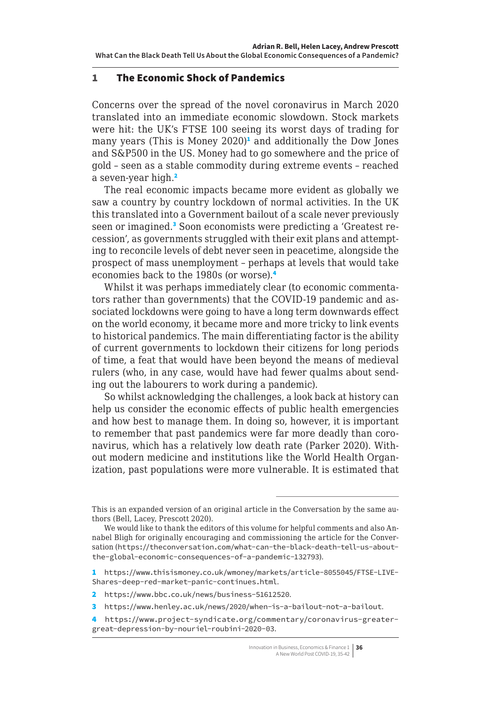### <span id="page-1-0"></span>1 The Economic Shock of Pandemics

Concerns over the spread of the novel coronavirus in March 2020 translated into an immediate economic slowdown. Stock markets were hit: the UK's FTSE 100 seeing its worst days of trading for many years (This is Money 2020)<sup>1</sup> and additionally the Dow Jones and S&P500 in the US. Money had to go somewhere and the price of gold – seen as a stable commodity during extreme events – reached a seven-year high.<sup>2</sup>

The real economic impacts became more evident as globally we saw a country by country lockdown of normal activities. In the UK this translated into a Government bailout of a scale never previously seen or imagined.<sup>3</sup> Soon economists were predicting a 'Greatest recession', as governments struggled with their exit plans and attempting to reconcile levels of debt never seen in peacetime, alongside the prospect of mass unemployment – perhaps at levels that would take economies back to the 1980s (or worse).<sup>4</sup>

Whilst it was perhaps immediately clear (to economic commentators rather than governments) that the COVID-19 pandemic and associated lockdowns were going to have a long term downwards effect on the world economy, it became more and more tricky to link events to historical pandemics. The main differentiating factor is the ability of current governments to lockdown their citizens for long periods of time, a feat that would have been beyond the means of medieval rulers (who, in any case, would have had fewer qualms about sending out the labourers to work during a pandemic).

So whilst acknowledging the challenges, a look back at history can help us consider the economic effects of public health emergencies and how best to manage them. In doing so, however, it is important to remember that past pandemics were far more deadly than coronavirus, which has a relatively low death rate (Parker 2020). Without modern medicine and institutions like the World Health Organization, past populations were more vulnerable. It is estimated that

2 https://www.bbc.co.uk/news/business-51612520.

3 <https://www.henley.ac.uk/news/2020/when-is-a-bailout-not-a-bailout>.

This is an expanded version of an original article in the Conversation by the same authors (Bell, Lacey, Prescott 2020).

We would like to thank the editors of this volume for helpful comments and also Annabel Bligh for originally encouraging and commissioning the article for the Conversation ([https://theconversation.com/what-can-the-black-death-tell-us-about](https://theconversation.com/what-can-the-black-death-tell-us-about-the-global-economic-consequences-of-a-pandemic-132793)[the-global-economic-consequences-of-a-pandemic-132793](https://theconversation.com/what-can-the-black-death-tell-us-about-the-global-economic-consequences-of-a-pandemic-132793)).

<sup>1</sup> https://www.thisismoney.co.uk/wmoney/markets/article-8055045/FTSE-LIVE-Shares-deep-red-market-panic-continues.html.

<sup>4</sup> [https://www.project-syndicate.org/commentary/coronavirus-greater](https://www.project-syndicate.org/commentary/coronavirus-greater-great-depression-by-nouriel-roubini-2020-03.)[great-depression-by-nouriel-roubini-2020-03](https://www.project-syndicate.org/commentary/coronavirus-greater-great-depression-by-nouriel-roubini-2020-03.).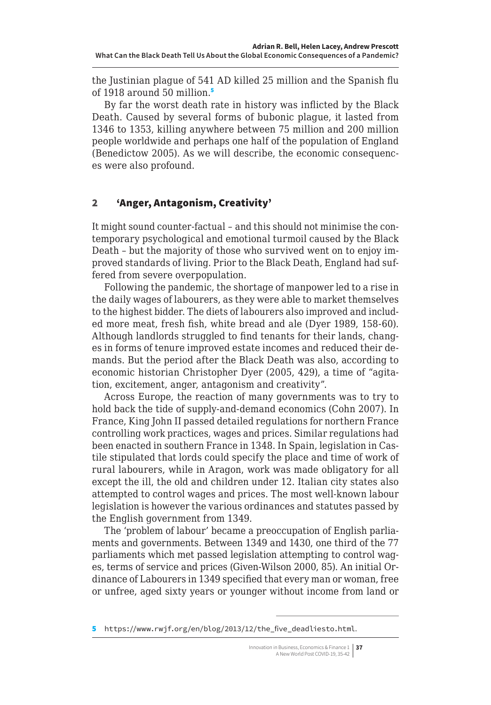<span id="page-2-0"></span>the Justinian plague of 541 AD killed 25 million and the Spanish flu of 1918 around 50 million.<sup>5</sup>

By far the worst death rate in history was inflicted by the Black Death. Caused by several forms of bubonic plague, it lasted from 1346 to 1353, killing anywhere between 75 million and 200 million people worldwide and perhaps one half of the population of England (Benedictow 2005). As we will describe, the economic consequences were also profound.

## 2 'Anger, Antagonism, Creativity'

It might sound counter-factual – and this should not minimise the contemporary psychological and emotional turmoil caused by the Black Death – but the majority of those who survived went on to enjoy improved standards of living. Prior to the Black Death, England had suffered from severe overpopulation.

Following the pandemic, the shortage of manpower led to a rise in the daily wages of labourers, as they were able to market themselves to the highest bidder. The diets of labourers also improved and included more meat, fresh fish, white bread and ale (Dyer 1989, 158-60). Although landlords struggled to find tenants for their lands, changes in forms of tenure improved estate incomes and reduced their demands. But the period after the Black Death was also, according to economic historian Christopher Dyer (2005, 429), a time of "agitation, excitement, anger, antagonism and creativity".

Across Europe, the reaction of many governments was to try to hold back the tide of supply-and-demand economics (Cohn 2007). In France, King John II passed detailed regulations for northern France controlling work practices, wages and prices. Similar regulations had been enacted in southern France in 1348. In Spain, legislation in Castile stipulated that lords could specify the place and time of work of rural labourers, while in Aragon, work was made obligatory for all except the ill, the old and children under 12. Italian city states also attempted to control wages and prices. The most well-known labour legislation is however the various ordinances and statutes passed by the English government from 1349.

The 'problem of labour' became a preoccupation of English parliaments and governments. Between 1349 and 1430, one third of the 77 parliaments which met passed legislation attempting to control wages, terms of service and prices (Given-Wilson 2000, 85). An initial Ordinance of Labourers in 1349 specified that every man or woman, free or unfree, aged sixty years or younger without income from land or

<sup>5</sup> https://www.rwjf.org/en/blog/2013/12/the five deadliesto.html.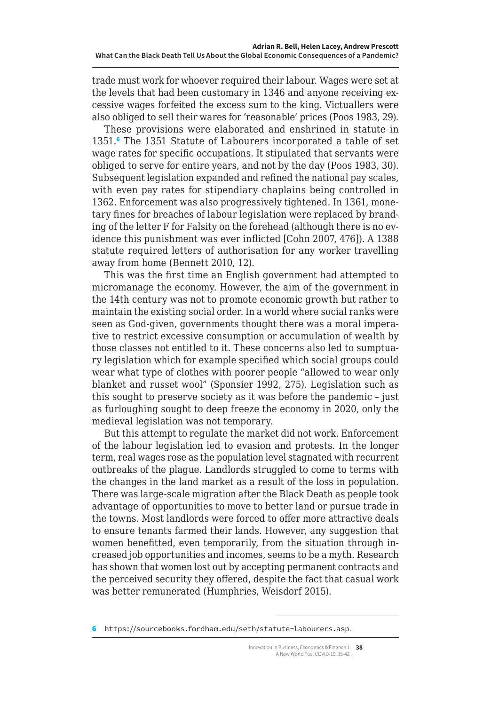trade must work for whoever required their labour. Wages were set at the levels that had been customary in 1346 and anyone receiving excessive wages forfeited the excess sum to the king. Victuallers were also obliged to sell their wares for 'reasonable' prices (Poos 1983, 29).

These provisions were elaborated and enshrined in statute in 1351.<sup>6</sup> The 1351 Statute of Labourers incorporated a table of set wage rates for specific occupations. It stipulated that servants were obliged to serve for entire years, and not by the day (Poos 1983, 30). Subsequent legislation expanded and refined the national pay scales, with even pay rates for stipendiary chaplains being controlled in 1362. Enforcement was also progressively tightened. In 1361, monetary fines for breaches of labour legislation were replaced by branding of the letter F for Falsity on the forehead (although there is no evidence this punishment was ever inflicted [Cohn 2007, 476]). A 1388 statute required letters of authorisation for any worker travelling away from home (Bennett 2010, 12).

This was the first time an English government had attempted to micromanage the economy. However, the aim of the government in the 14th century was not to promote economic growth but rather to maintain the existing social order. In a world where social ranks were seen as God-given, governments thought there was a moral imperative to restrict excessive consumption or accumulation of wealth by those classes not entitled to it. These concerns also led to sumptuary legislation which for example specified which social groups could wear what type of clothes with poorer people "allowed to wear only blanket and russet wool" (Sponsier 1992, 275). Legislation such as this sought to preserve society as it was before the pandemic – just as furloughing sought to deep freeze the economy in 2020, only the medieval legislation was not temporary.

But this attempt to regulate the market did not work. Enforcement of the labour legislation led to evasion and protests. In the longer term, real wages rose as the population level stagnated with recurrent outbreaks of the plague. Landlords struggled to come to terms with the changes in the land market as a result of the loss in population. There was large-scale migration after the Black Death as people took advantage of opportunities to move to better land or pursue trade in the towns. Most landlords were forced to offer more attractive deals to ensure tenants farmed their lands. However, any suggestion that women benefitted, even temporarily, from the situation through increased job opportunities and incomes, seems to be a myth. Research has shown that women lost out by accepting permanent contracts and the perceived security they offered, despite the fact that casual work was better remunerated (Humphries, Weisdorf 2015).

<sup>6</sup> <https://sourcebooks.fordham.edu/seth/statute-labourers.asp>.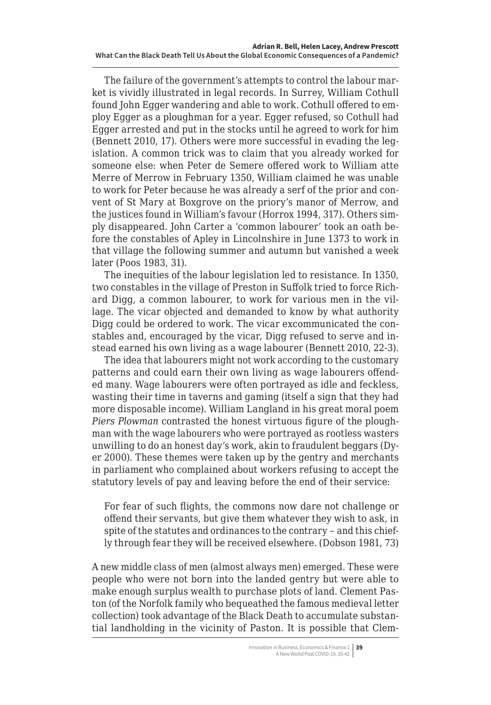The failure of the government's attempts to control the labour market is vividly illustrated in legal records. In Surrey, William Cothull found John Egger wandering and able to work. Cothull offered to employ Egger as a ploughman for a year. Egger refused, so Cothull had Egger arrested and put in the stocks until he agreed to work for him (Bennett 2010, 17). Others were more successful in evading the legislation. A common trick was to claim that you already worked for someone else: when Peter de Semere offered work to William atte Merre of Merrow in February 1350, William claimed he was unable to work for Peter because he was already a serf of the prior and convent of St Mary at Boxgrove on the priory's manor of Merrow, and the justices found in William's favour (Horrox 1994, 317). Others simply disappeared. John Carter a 'common labourer' took an oath before the constables of Apley in Lincolnshire in June 1373 to work in that village the following summer and autumn but vanished a week later (Poos 1983, 31).

The inequities of the labour legislation led to resistance. In 1350, two constables in the village of Preston in Suffolk tried to force Richard Digg, a common labourer, to work for various men in the village. The vicar objected and demanded to know by what authority Digg could be ordered to work. The vicar excommunicated the constables and, encouraged by the vicar, Digg refused to serve and instead earned his own living as a wage labourer (Bennett 2010, 22-3).

The idea that labourers might not work according to the customary patterns and could earn their own living as wage labourers offended many. Wage labourers were often portrayed as idle and feckless, wasting their time in taverns and gaming (itself a sign that they had more disposable income). William Langland in his great moral poem *Piers Plowman* contrasted the honest virtuous figure of the ploughman with the wage labourers who were portrayed as rootless wasters unwilling to do an honest day's work, akin to fraudulent beggars (Dyer 2000). These themes were taken up by the gentry and merchants in parliament who complained about workers refusing to accept the statutory levels of pay and leaving before the end of their service:

For fear of such flights, the commons now dare not challenge or offend their servants, but give them whatever they wish to ask, in spite of the statutes and ordinances to the contrary – and this chiefly through fear they will be received elsewhere. (Dobson 1981, 73)

A new middle class of men (almost always men) emerged. These were people who were not born into the landed gentry but were able to make enough surplus wealth to purchase plots of land. Clement Paston (of the Norfolk family who bequeathed the famous medieval letter collection) took advantage of the Black Death to accumulate substantial landholding in the vicinity of Paston. It is possible that Clem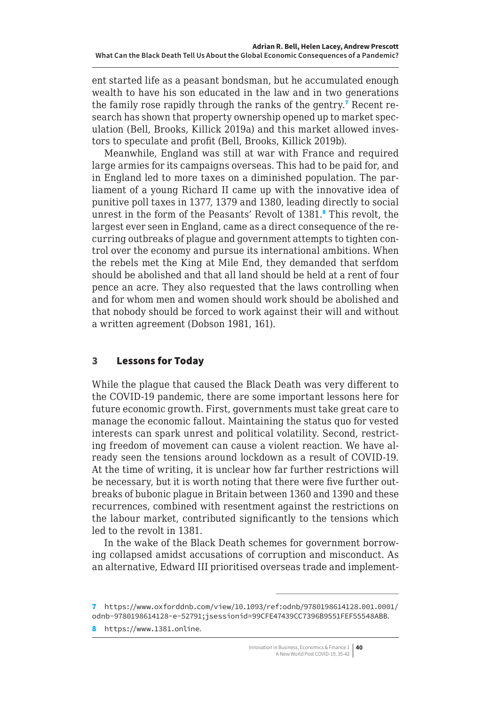<span id="page-5-0"></span>ent started life as a peasant bondsman, but he accumulated enough wealth to have his son educated in the law and in two generations the family rose rapidly through the ranks of the gentry.<sup>7</sup> Recent research has shown that property ownership opened up to market speculation (Bell, Brooks, Killick 2019a) and this market allowed investors to speculate and profit (Bell, Brooks, Killick 2019b).

Meanwhile, England was still at war with France and required large armies for its campaigns overseas. This had to be paid for, and in England led to more taxes on a diminished population. The parliament of a young Richard II came up with the innovative idea of punitive poll taxes in 1377, 1379 and 1380, leading directly to social unrest in the form of the Peasants' Revolt of 1381.<sup>8</sup> This revolt, the largest ever seen in England, came as a direct consequence of the recurring outbreaks of plague and government attempts to tighten control over the economy and pursue its international ambitions. When the rebels met the King at Mile End, they demanded that serfdom should be abolished and that all land should be held at a rent of four pence an acre. They also requested that the laws controlling when and for whom men and women should work should be abolished and that nobody should be forced to work against their will and without a written agreement (Dobson 1981, 161).

# 3 Lessons for Today

While the plague that caused the Black Death was very different to the COVID-19 pandemic, there are some important lessons here for future economic growth. First, governments must take great care to manage the economic fallout. Maintaining the status quo for vested interests can spark unrest and political volatility. Second, restricting freedom of movement can cause a violent reaction. We have already seen the tensions around lockdown as a result of COVID-19. At the time of writing, it is unclear how far further restrictions will be necessary, but it is worth noting that there were five further outbreaks of bubonic plague in Britain between 1360 and 1390 and these recurrences, combined with resentment against the restrictions on the labour market, contributed significantly to the tensions which led to the revolt in 1381.

In the wake of the Black Death schemes for government borrowing collapsed amidst accusations of corruption and misconduct. As an alternative, Edward III prioritised overseas trade and implement-

<sup>7</sup> [https://www.oxforddnb.com/view/10.1093/ref:](https://www.oxforddnb.com/view/10.1093/ref)odnb/9780198614128.001.0001/ odnb-9780198614128-e-52791;jsessionid=99CFE47439CC7396B9551FEF55548ABB.

<sup>8</sup> https://www.1381.online.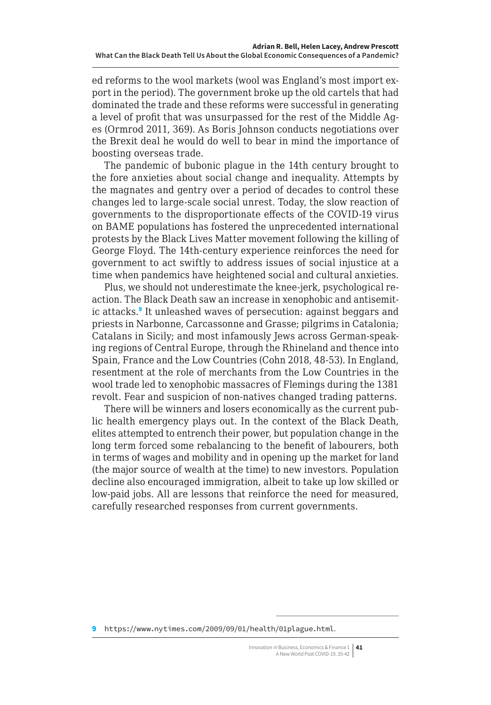ed reforms to the wool markets (wool was England's most import export in the period). The government broke up the old cartels that had dominated the trade and these reforms were successful in generating a level of profit that was unsurpassed for the rest of the Middle Ages (Ormrod 2011, 369). As Boris Johnson conducts negotiations over the Brexit deal he would do well to bear in mind the importance of boosting overseas trade.

The pandemic of bubonic plague in the 14th century brought to the fore anxieties about social change and inequality. Attempts by the magnates and gentry over a period of decades to control these changes led to large-scale social unrest. Today, the slow reaction of governments to the disproportionate effects of the COVID-19 virus on BAME populations has fostered the unprecedented international protests by the Black Lives Matter movement following the killing of George Floyd. The 14th-century experience reinforces the need for government to act swiftly to address issues of social injustice at a time when pandemics have heightened social and cultural anxieties.

Plus, we should not underestimate the knee-jerk, psychological reaction. The Black Death saw an increase in xenophobic and antisemitic attacks.<sup>9</sup> It unleashed waves of persecution: against beggars and priests in Narbonne, Carcassonne and Grasse; pilgrims in Catalonia; Catalans in Sicily; and most infamously Jews across German-speaking regions of Central Europe, through the Rhineland and thence into Spain, France and the Low Countries (Cohn 2018, 48-53). In England, resentment at the role of merchants from the Low Countries in the wool trade led to xenophobic massacres of Flemings during the 1381 revolt. Fear and suspicion of non-natives changed trading patterns.

There will be winners and losers economically as the current public health emergency plays out. In the context of the Black Death, elites attempted to entrench their power, but population change in the long term forced some rebalancing to the benefit of labourers, both in terms of wages and mobility and in opening up the market for land (the major source of wealth at the time) to new investors. Population decline also encouraged immigration, albeit to take up low skilled or low-paid jobs. All are lessons that reinforce the need for measured, carefully researched responses from current governments.

<sup>9</sup> <https://www.nytimes.com/2009/09/01/health/01plague.html>.